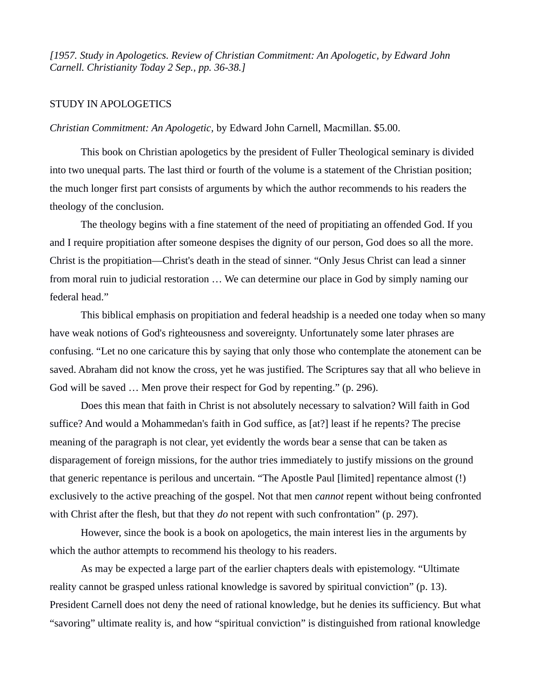*[1957. Study in Apologetics. Review of Christian Commitment: An Apologetic, by Edward John Carnell. Christianity Today 2 Sep., pp. 36-38.]*

## STUDY IN APOLOGETICS

*Christian Commitment: An Apologetic,* by Edward John Carnell, Macmillan. \$5.00.

This book on Christian apologetics by the president of Fuller Theological seminary is divided into two unequal parts. The last third or fourth of the volume is a statement of the Christian position; the much longer first part consists of arguments by which the author recommends to his readers the theology of the conclusion.

The theology begins with a fine statement of the need of propitiating an offended God. If you and I require propitiation after someone despises the dignity of our person, God does so all the more. Christ is the propitiation—Christ's death in the stead of sinner. "Only Jesus Christ can lead a sinner from moral ruin to judicial restoration … We can determine our place in God by simply naming our federal head."

This biblical emphasis on propitiation and federal headship is a needed one today when so many have weak notions of God's righteousness and sovereignty. Unfortunately some later phrases are confusing. "Let no one caricature this by saying that only those who contemplate the atonement can be saved. Abraham did not know the cross, yet he was justified. The Scriptures say that all who believe in God will be saved … Men prove their respect for God by repenting." (p. 296).

Does this mean that faith in Christ is not absolutely necessary to salvation? Will faith in God suffice? And would a Mohammedan's faith in God suffice, as [at?] least if he repents? The precise meaning of the paragraph is not clear, yet evidently the words bear a sense that can be taken as disparagement of foreign missions, for the author tries immediately to justify missions on the ground that generic repentance is perilous and uncertain. "The Apostle Paul [limited] repentance almost (!) exclusively to the active preaching of the gospel. Not that men *cannot* repent without being confronted with Christ after the flesh, but that they *do* not repent with such confrontation" (p. 297).

However, since the book is a book on apologetics, the main interest lies in the arguments by which the author attempts to recommend his theology to his readers.

As may be expected a large part of the earlier chapters deals with epistemology. "Ultimate reality cannot be grasped unless rational knowledge is savored by spiritual conviction" (p. 13). President Carnell does not deny the need of rational knowledge, but he denies its sufficiency. But what "savoring" ultimate reality is, and how "spiritual conviction" is distinguished from rational knowledge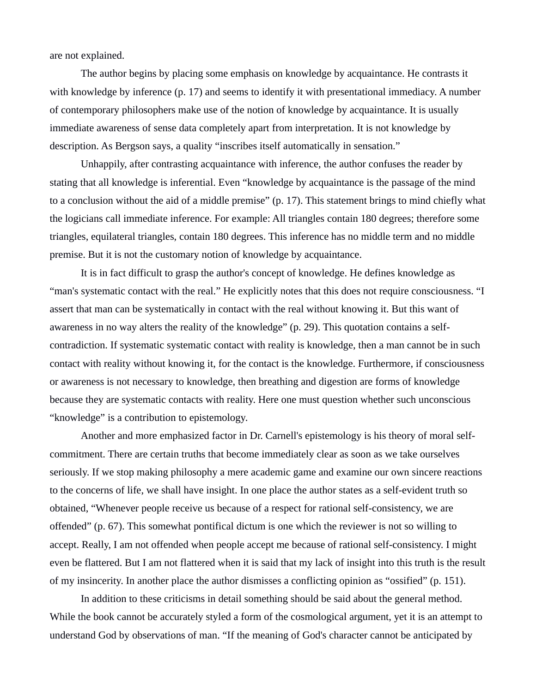are not explained.

The author begins by placing some emphasis on knowledge by acquaintance. He contrasts it with knowledge by inference (p. 17) and seems to identify it with presentational immediacy. A number of contemporary philosophers make use of the notion of knowledge by acquaintance. It is usually immediate awareness of sense data completely apart from interpretation. It is not knowledge by description. As Bergson says, a quality "inscribes itself automatically in sensation."

Unhappily, after contrasting acquaintance with inference, the author confuses the reader by stating that all knowledge is inferential. Even "knowledge by acquaintance is the passage of the mind to a conclusion without the aid of a middle premise" (p. 17). This statement brings to mind chiefly what the logicians call immediate inference. For example: All triangles contain 180 degrees; therefore some triangles, equilateral triangles, contain 180 degrees. This inference has no middle term and no middle premise. But it is not the customary notion of knowledge by acquaintance.

It is in fact difficult to grasp the author's concept of knowledge. He defines knowledge as "man's systematic contact with the real." He explicitly notes that this does not require consciousness. "I assert that man can be systematically in contact with the real without knowing it. But this want of awareness in no way alters the reality of the knowledge" (p. 29). This quotation contains a selfcontradiction. If systematic systematic contact with reality is knowledge, then a man cannot be in such contact with reality without knowing it, for the contact is the knowledge. Furthermore, if consciousness or awareness is not necessary to knowledge, then breathing and digestion are forms of knowledge because they are systematic contacts with reality. Here one must question whether such unconscious "knowledge" is a contribution to epistemology.

Another and more emphasized factor in Dr. Carnell's epistemology is his theory of moral selfcommitment. There are certain truths that become immediately clear as soon as we take ourselves seriously. If we stop making philosophy a mere academic game and examine our own sincere reactions to the concerns of life, we shall have insight. In one place the author states as a self-evident truth so obtained, "Whenever people receive us because of a respect for rational self-consistency, we are offended" (p. 67). This somewhat pontifical dictum is one which the reviewer is not so willing to accept. Really, I am not offended when people accept me because of rational self-consistency. I might even be flattered. But I am not flattered when it is said that my lack of insight into this truth is the result of my insincerity. In another place the author dismisses a conflicting opinion as "ossified" (p. 151).

In addition to these criticisms in detail something should be said about the general method. While the book cannot be accurately styled a form of the cosmological argument, yet it is an attempt to understand God by observations of man. "If the meaning of God's character cannot be anticipated by